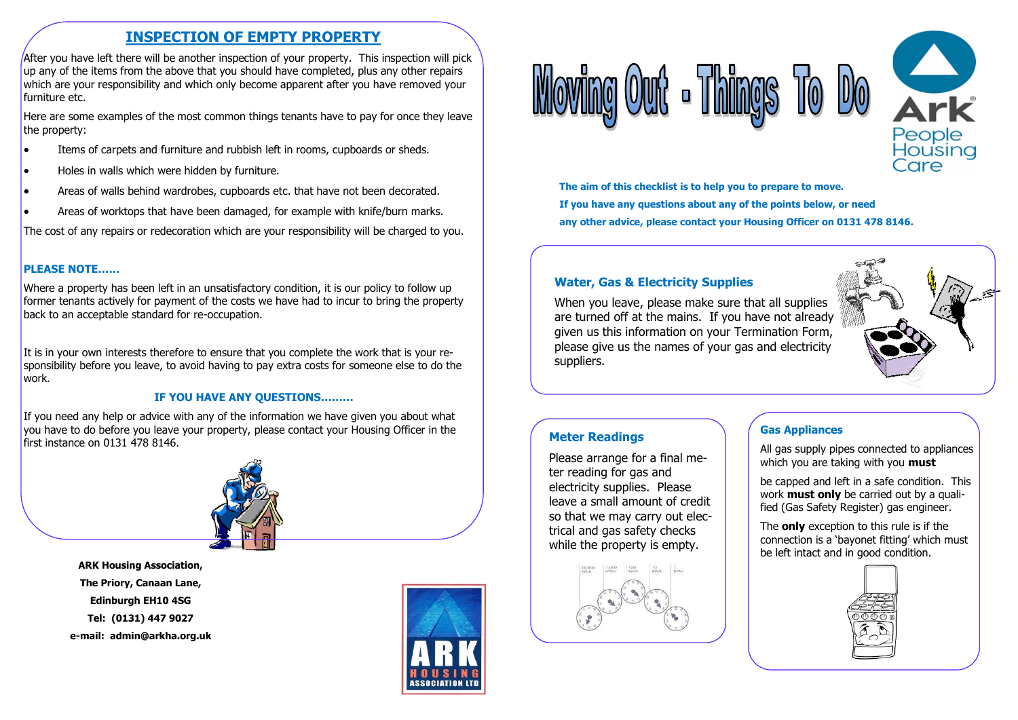# **INSPECTION OF EMPTY PROPERTY**

After you have left there will be another inspection of your property. This inspection will pick up any of the items from the above that you should have completed, plus any other repairs which are your responsibility and which only become apparent after you have removed your furniture etc.

Here are some examples of the most common things tenants have to pay for once they leave the property:

- Items of carpets and furniture and rubbish left in rooms, cupboards or sheds.
- Holes in walls which were hidden by furniture.
- Areas of walls behind wardrobes, cupboards etc. that have not been decorated.
- Areas of worktops that have been damaged, for example with knife/burn marks.

The cost of any repairs or redecoration which are your responsibility will be charged to you.

#### **PLEASE NOTE……**

Where a property has been left in an unsatisfactory condition, it is our policy to follow up former tenants actively for payment of the costs we have had to incur to bring the property back to an acceptable standard for re-occupation.

It is in your own interests therefore to ensure that you complete the work that is your responsibility before you leave, to avoid having to pay extra costs for someone else to do the work.

#### **IF YOU HAVE ANY QUESTIONS………**

If you need any help or advice with any of the information we have given you about what you have to do before you leave your property, please contact your Housing Officer in the first instance on 0131 478 8146.



**ARK Housing Association, The Priory, Canaan Lane, Edinburgh EH10 4SG Tel: (0131) 447 9027 e-mail: admin@arkha.org.uk**







**The aim of this checklist is to help you to prepare to move. If you have any questions about any of the points below, or need any other advice, please contact your Housing Officer on 0131 478 8146.**

### **Water, Gas & Electricity Supplies**

When you leave, please make sure that all supplies are turned off at the mains. If you have not already given us this information on your Termination Form, please give us the names of your gas and electricity suppliers.



### **Meter Readings**

Please arrange for a final meter reading for gas and electricity supplies. Please leave a small amount of credit so that we may carry out electrical and gas safety checks while the property is empty.



### **Gas Appliances**

All gas supply pipes connected to appliances which you are taking with you **must**

be capped and left in a safe condition. This work **must only** be carried out by a qualified (Gas Safety Register) gas engineer.

The **only** exception to this rule is if the connection is a 'bayonet fitting' which must be left intact and in good condition.